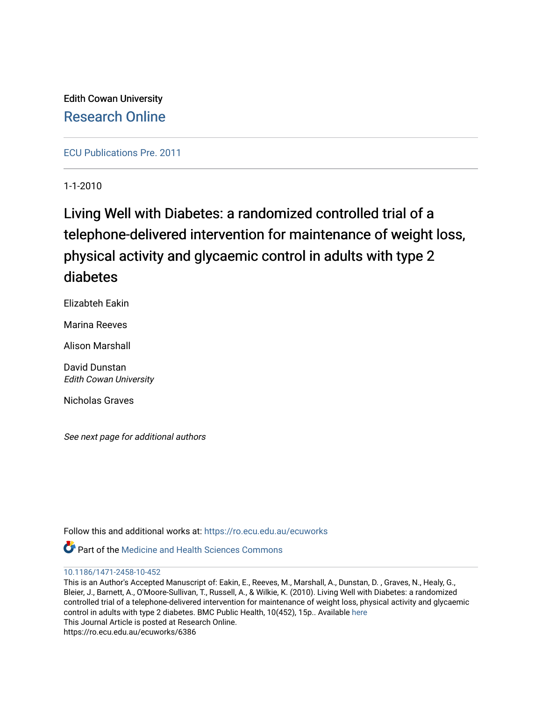Edith Cowan University [Research Online](https://ro.ecu.edu.au/) 

[ECU Publications Pre. 2011](https://ro.ecu.edu.au/ecuworks)

1-1-2010

## Living Well with Diabetes: a randomized controlled trial of a telephone-delivered intervention for maintenance of weight loss, physical activity and glycaemic control in adults with type 2 diabetes

Elizabteh Eakin

Marina Reeves

Alison Marshall

David Dunstan Edith Cowan University

Nicholas Graves

See next page for additional authors

Follow this and additional works at: [https://ro.ecu.edu.au/ecuworks](https://ro.ecu.edu.au/ecuworks?utm_source=ro.ecu.edu.au%2Fecuworks%2F6386&utm_medium=PDF&utm_campaign=PDFCoverPages) 

**Part of the Medicine and Health Sciences Commons** 

[10.1186/1471-2458-10-452](http://dx.doi.org/10.1186/1471-2458-10-452) 

This is an Author's Accepted Manuscript of: Eakin, E., Reeves, M., Marshall, A., Dunstan, D. , Graves, N., Healy, G., Bleier, J., Barnett, A., O'Moore-Sullivan, T., Russell, A., & Wilkie, K. (2010). Living Well with Diabetes: a randomized controlled trial of a telephone-delivered intervention for maintenance of weight loss, physical activity and glycaemic control in adults with type 2 diabetes. BMC Public Health, 10(452), 15p.. Available [here](http://dx.doi.org/10.1186/1471-2458-10-452) This Journal Article is posted at Research Online. https://ro.ecu.edu.au/ecuworks/6386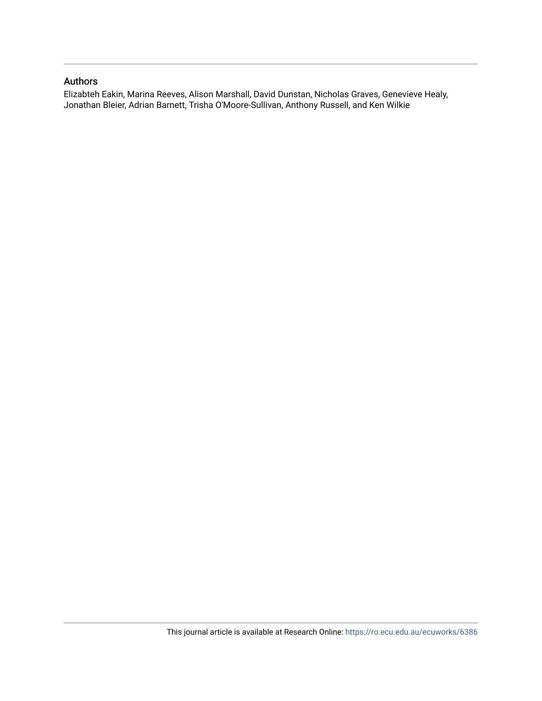## Authors

Elizabteh Eakin, Marina Reeves, Alison Marshall, David Dunstan, Nicholas Graves, Genevieve Healy, Jonathan Bleier, Adrian Barnett, Trisha O'Moore-Sullivan, Anthony Russell, and Ken Wilkie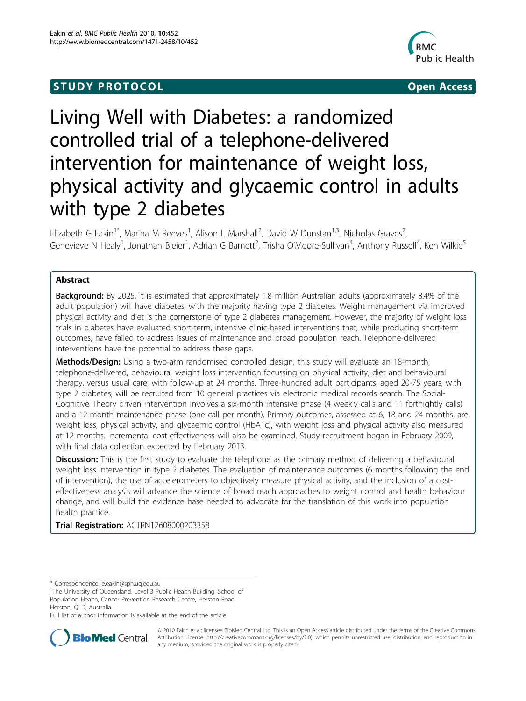## **STUDY PROTOCOL CONSUMING ACCESS**



# Living Well with Diabetes: a randomized controlled trial of a telephone-delivered intervention for maintenance of weight loss, physical activity and glycaemic control in adults with type 2 diabetes

Elizabeth G Eakin<sup>1\*</sup>, Marina M Reeves<sup>1</sup>, Alison L Marshall<sup>2</sup>, David W Dunstan<sup>1,3</sup>, Nicholas Graves<sup>2</sup> .<br>, Genevieve N Healy<sup>1</sup>, Jonathan Bleier<sup>1</sup>, Adrian G Barnett<sup>2</sup>, Trisha O'Moore-Sullivan<sup>4</sup>, Anthony Russell<sup>4</sup>, Ken Wilkie<sup>5</sup>

## Abstract

**Background:** By 2025, it is estimated that approximately 1.8 million Australian adults (approximately 8.4% of the adult population) will have diabetes, with the majority having type 2 diabetes. Weight management via improved physical activity and diet is the cornerstone of type 2 diabetes management. However, the majority of weight loss trials in diabetes have evaluated short-term, intensive clinic-based interventions that, while producing short-term outcomes, have failed to address issues of maintenance and broad population reach. Telephone-delivered interventions have the potential to address these gaps.

Methods/Design: Using a two-arm randomised controlled design, this study will evaluate an 18-month, telephone-delivered, behavioural weight loss intervention focussing on physical activity, diet and behavioural therapy, versus usual care, with follow-up at 24 months. Three-hundred adult participants, aged 20-75 years, with type 2 diabetes, will be recruited from 10 general practices via electronic medical records search. The Social-Cognitive Theory driven intervention involves a six-month intensive phase (4 weekly calls and 11 fortnightly calls) and a 12-month maintenance phase (one call per month). Primary outcomes, assessed at 6, 18 and 24 months, are: weight loss, physical activity, and glycaemic control (HbA1c), with weight loss and physical activity also measured at 12 months. Incremental cost-effectiveness will also be examined. Study recruitment began in February 2009, with final data collection expected by February 2013.

**Discussion:** This is the first study to evaluate the telephone as the primary method of delivering a behavioural weight loss intervention in type 2 diabetes. The evaluation of maintenance outcomes (6 months following the end of intervention), the use of accelerometers to objectively measure physical activity, and the inclusion of a costeffectiveness analysis will advance the science of broad reach approaches to weight control and health behaviour change, and will build the evidence base needed to advocate for the translation of this work into population health practice.

**Trial Registration: ACTRN12608000203358** 

Full list of author information is available at the end of the article



© 2010 Eakin et al; licensee BioMed Central Ltd. This is an Open Access article distributed under the terms of the Creative Commons Attribution License [\(http://creativecommons.org/licenses/by/2.0](http://creativecommons.org/licenses/by/2.0)), which permits unrestricted use, distribution, and reproduction in any medium, provided the original work is properly cited.

<sup>\*</sup> Correspondence: [e.eakin@sph.uq.edu.au](mailto:e.eakin@sph.uq.edu.au)

<sup>&</sup>lt;sup>1</sup>The University of Queensland, Level 3 Public Health Building, School of Population Health, Cancer Prevention Research Centre, Herston Road, Herston, QLD, Australia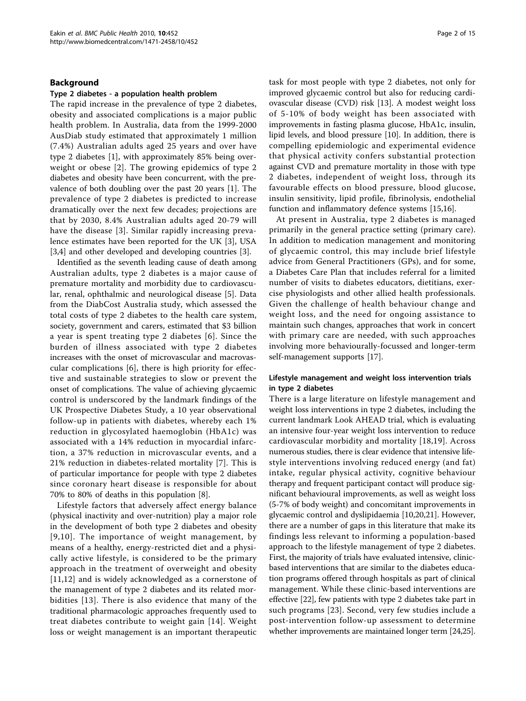#### Background

#### Type 2 diabetes - a population health problem

The rapid increase in the prevalence of type 2 diabetes, obesity and associated complications is a major public health problem. In Australia, data from the 1999-2000 AusDiab study estimated that approximately 1 million (7.4%) Australian adults aged 25 years and over have type 2 diabetes [[1\]](#page-14-0), with approximately 85% being overweight or obese [\[2\]](#page-14-0). The growing epidemics of type 2 diabetes and obesity have been concurrent, with the prevalence of both doubling over the past 20 years [[1\]](#page-14-0). The prevalence of type 2 diabetes is predicted to increase dramatically over the next few decades; projections are that by 2030, 8.4% Australian adults aged 20-79 will have the disease [[3](#page-14-0)]. Similar rapidly increasing prevalence estimates have been reported for the UK [[3\]](#page-14-0), USA [[3,4\]](#page-14-0) and other developed and developing countries [[3](#page-14-0)].

Identified as the seventh leading cause of death among Australian adults, type 2 diabetes is a major cause of premature mortality and morbidity due to cardiovascular, renal, ophthalmic and neurological disease [[5](#page-14-0)]. Data from the DiabCost Australia study, which assessed the total costs of type 2 diabetes to the health care system, society, government and carers, estimated that \$3 billion a year is spent treating type 2 diabetes [\[6\]](#page-14-0). Since the burden of illness associated with type 2 diabetes increases with the onset of microvascular and macrovascular complications [\[6](#page-14-0)], there is high priority for effective and sustainable strategies to slow or prevent the onset of complications. The value of achieving glycaemic control is underscored by the landmark findings of the UK Prospective Diabetes Study, a 10 year observational follow-up in patients with diabetes, whereby each 1% reduction in glycosylated haemoglobin (HbA1c) was associated with a 14% reduction in myocardial infarction, a 37% reduction in microvascular events, and a 21% reduction in diabetes-related mortality [[7\]](#page-14-0). This is of particular importance for people with type 2 diabetes since coronary heart disease is responsible for about 70% to 80% of deaths in this population [[8\]](#page-14-0).

Lifestyle factors that adversely affect energy balance (physical inactivity and over-nutrition) play a major role in the development of both type 2 diabetes and obesity [[9,10](#page-14-0)]. The importance of weight management, by means of a healthy, energy-restricted diet and a physically active lifestyle, is considered to be the primary approach in the treatment of overweight and obesity [[11,12](#page-14-0)] and is widely acknowledged as a cornerstone of the management of type 2 diabetes and its related morbidities [\[13\]](#page-14-0). There is also evidence that many of the traditional pharmacologic approaches frequently used to treat diabetes contribute to weight gain [[14](#page-14-0)]. Weight loss or weight management is an important therapeutic task for most people with type 2 diabetes, not only for improved glycaemic control but also for reducing cardiovascular disease (CVD) risk [[13](#page-14-0)]. A modest weight loss of 5-10% of body weight has been associated with improvements in fasting plasma glucose, HbA1c, insulin, lipid levels, and blood pressure [[10\]](#page-14-0). In addition, there is compelling epidemiologic and experimental evidence that physical activity confers substantial protection against CVD and premature mortality in those with type 2 diabetes, independent of weight loss, through its favourable effects on blood pressure, blood glucose, insulin sensitivity, lipid profile, fibrinolysis, endothelial function and inflammatory defence systems [\[15,16\]](#page-14-0).

At present in Australia, type 2 diabetes is managed primarily in the general practice setting (primary care). In addition to medication management and monitoring of glycaemic control, this may include brief lifestyle advice from General Practitioners (GPs), and for some, a Diabetes Care Plan that includes referral for a limited number of visits to diabetes educators, dietitians, exercise physiologists and other allied health professionals. Given the challenge of health behaviour change and weight loss, and the need for ongoing assistance to maintain such changes, approaches that work in concert with primary care are needed, with such approaches involving more behaviourally-focussed and longer-term self-management supports [[17\]](#page-14-0).

## Lifestyle management and weight loss intervention trials in type 2 diabetes

There is a large literature on lifestyle management and weight loss interventions in type 2 diabetes, including the current landmark Look AHEAD trial, which is evaluating an intensive four-year weight loss intervention to reduce cardiovascular morbidity and mortality [[18](#page-14-0),[19](#page-14-0)]. Across numerous studies, there is clear evidence that intensive lifestyle interventions involving reduced energy (and fat) intake, regular physical activity, cognitive behaviour therapy and frequent participant contact will produce significant behavioural improvements, as well as weight loss (5-7% of body weight) and concomitant improvements in glycaemic control and dyslipidaemia [\[10,20,21\]](#page-14-0). However, there are a number of gaps in this literature that make its findings less relevant to informing a population-based approach to the lifestyle management of type 2 diabetes. First, the majority of trials have evaluated intensive, clinicbased interventions that are similar to the diabetes education programs offered through hospitals as part of clinical management. While these clinic-based interventions are effective [\[22\]](#page-14-0), few patients with type 2 diabetes take part in such programs [[23](#page-14-0)]. Second, very few studies include a post-intervention follow-up assessment to determine whether improvements are maintained longer term [\[24,25](#page-14-0)].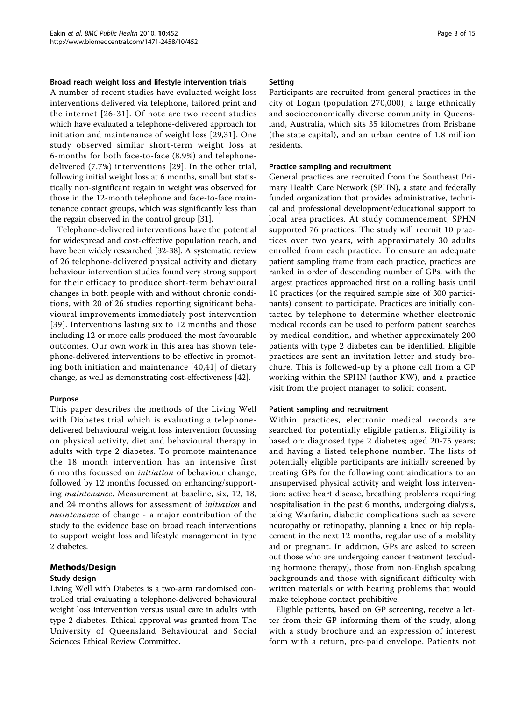#### Broad reach weight loss and lifestyle intervention trials

A number of recent studies have evaluated weight loss interventions delivered via telephone, tailored print and the internet [[26](#page-14-0)-[31\]](#page-14-0). Of note are two recent studies which have evaluated a telephone-delivered approach for initiation and maintenance of weight loss [[29](#page-14-0),[31\]](#page-14-0). One study observed similar short-term weight loss at 6-months for both face-to-face (8.9%) and telephonedelivered (7.7%) interventions [[29](#page-14-0)]. In the other trial, following initial weight loss at 6 months, small but statistically non-significant regain in weight was observed for those in the 12-month telephone and face-to-face maintenance contact groups, which was significantly less than the regain observed in the control group [[31](#page-14-0)].

Telephone-delivered interventions have the potential for widespread and cost-effective population reach, and have been widely researched [\[32](#page-15-0)-[38](#page-15-0)]. A systematic review of 26 telephone-delivered physical activity and dietary behaviour intervention studies found very strong support for their efficacy to produce short-term behavioural changes in both people with and without chronic conditions, with 20 of 26 studies reporting significant behavioural improvements immediately post-intervention [[39\]](#page-15-0). Interventions lasting six to 12 months and those including 12 or more calls produced the most favourable outcomes. Our own work in this area has shown telephone-delivered interventions to be effective in promoting both initiation and maintenance [[40](#page-15-0),[41\]](#page-15-0) of dietary change, as well as demonstrating cost-effectiveness [[42\]](#page-15-0).

#### Purpose

This paper describes the methods of the Living Well with Diabetes trial which is evaluating a telephonedelivered behavioural weight loss intervention focussing on physical activity, diet and behavioural therapy in adults with type 2 diabetes. To promote maintenance the 18 month intervention has an intensive first 6 months focussed on initiation of behaviour change, followed by 12 months focussed on enhancing/supporting maintenance. Measurement at baseline, six, 12, 18, and 24 months allows for assessment of initiation and maintenance of change - a major contribution of the study to the evidence base on broad reach interventions to support weight loss and lifestyle management in type 2 diabetes.

#### Methods/Design

#### Study design

Living Well with Diabetes is a two-arm randomised controlled trial evaluating a telephone-delivered behavioural weight loss intervention versus usual care in adults with type 2 diabetes. Ethical approval was granted from The University of Queensland Behavioural and Social Sciences Ethical Review Committee.

#### Setting

Participants are recruited from general practices in the city of Logan (population 270,000), a large ethnically and socioeconomically diverse community in Queensland, Australia, which sits 35 kilometres from Brisbane (the state capital), and an urban centre of 1.8 million residents.

#### Practice sampling and recruitment

General practices are recruited from the Southeast Primary Health Care Network (SPHN), a state and federally funded organization that provides administrative, technical and professional development/educational support to local area practices. At study commencement, SPHN supported 76 practices. The study will recruit 10 practices over two years, with approximately 30 adults enrolled from each practice. To ensure an adequate patient sampling frame from each practice, practices are ranked in order of descending number of GPs, with the largest practices approached first on a rolling basis until 10 practices (or the required sample size of 300 participants) consent to participate. Practices are initially contacted by telephone to determine whether electronic medical records can be used to perform patient searches by medical condition, and whether approximately 200 patients with type 2 diabetes can be identified. Eligible practices are sent an invitation letter and study brochure. This is followed-up by a phone call from a GP working within the SPHN (author KW), and a practice visit from the project manager to solicit consent.

#### Patient sampling and recruitment

Within practices, electronic medical records are searched for potentially eligible patients. Eligibility is based on: diagnosed type 2 diabetes; aged 20-75 years; and having a listed telephone number. The lists of potentially eligible participants are initially screened by treating GPs for the following contraindications to an unsupervised physical activity and weight loss intervention: active heart disease, breathing problems requiring hospitalisation in the past 6 months, undergoing dialysis, taking Warfarin, diabetic complications such as severe neuropathy or retinopathy, planning a knee or hip replacement in the next 12 months, regular use of a mobility aid or pregnant. In addition, GPs are asked to screen out those who are undergoing cancer treatment (excluding hormone therapy), those from non-English speaking backgrounds and those with significant difficulty with written materials or with hearing problems that would make telephone contact prohibitive.

Eligible patients, based on GP screening, receive a letter from their GP informing them of the study, along with a study brochure and an expression of interest form with a return, pre-paid envelope. Patients not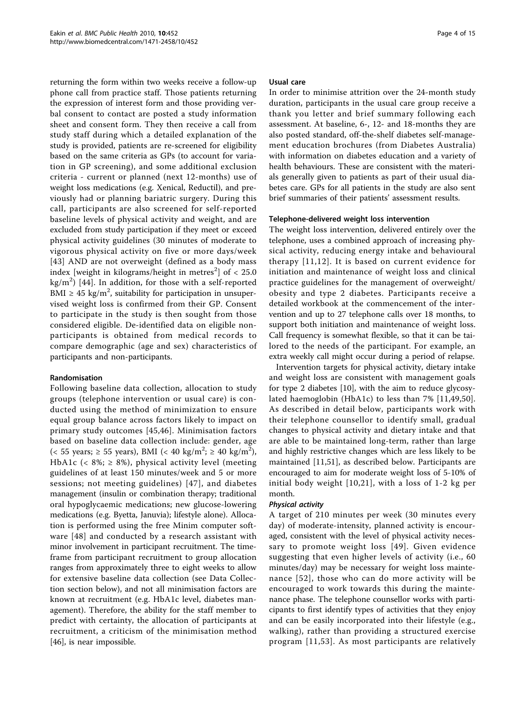returning the form within two weeks receive a follow-up phone call from practice staff. Those patients returning the expression of interest form and those providing verbal consent to contact are posted a study information sheet and consent form. They then receive a call from study staff during which a detailed explanation of the study is provided, patients are re-screened for eligibility based on the same criteria as GPs (to account for variation in GP screening), and some additional exclusion criteria - current or planned (next 12-months) use of weight loss medications (e.g. Xenical, Reductil), and previously had or planning bariatric surgery. During this call, participants are also screened for self-reported baseline levels of physical activity and weight, and are excluded from study participation if they meet or exceed physical activity guidelines (30 minutes of moderate to vigorous physical activity on five or more days/week [[43](#page-15-0)] AND are not overweight (defined as a body mass index [weight in kilograms/height in metres $^2$ ] of < 25.0  $\rm kg/m^2)$  [[44\]](#page-15-0). In addition, for those with a self-reported BMI  $\geq 45$  kg/m<sup>2</sup>, suitability for participation in unsupervised weight loss is confirmed from their GP. Consent to participate in the study is then sought from those considered eligible. De-identified data on eligible nonparticipants is obtained from medical records to compare demographic (age and sex) characteristics of participants and non-participants.

## Randomisation

Following baseline data collection, allocation to study groups (telephone intervention or usual care) is conducted using the method of minimization to ensure equal group balance across factors likely to impact on primary study outcomes [[45,46](#page-15-0)]. Minimisation factors based on baseline data collection include: gender, age (< 55 years; ≥ 55 years), BMI (< 40 kg/m<sup>2</sup>; ≥ 40 kg/m<sup>2</sup>), HbA1c (< 8%;  $\ge$  8%), physical activity level (meeting guidelines of at least 150 minutes/week and 5 or more sessions; not meeting guidelines) [[47](#page-15-0)], and diabetes management (insulin or combination therapy; traditional oral hypoglycaemic medications; new glucose-lowering medications (e.g. Byetta, Januvia); lifestyle alone). Allocation is performed using the free Minim computer software [[48\]](#page-15-0) and conducted by a research assistant with minor involvement in participant recruitment. The timeframe from participant recruitment to group allocation ranges from approximately three to eight weeks to allow for extensive baseline data collection (see Data Collection section below), and not all minimisation factors are known at recruitment (e.g. HbA1c level, diabetes management). Therefore, the ability for the staff member to predict with certainty, the allocation of participants at recruitment, a criticism of the minimisation method [[46\]](#page-15-0), is near impossible.

#### Usual care

In order to minimise attrition over the 24-month study duration, participants in the usual care group receive a thank you letter and brief summary following each assessment. At baseline, 6-, 12- and 18-months they are also posted standard, off-the-shelf diabetes self-management education brochures (from Diabetes Australia) with information on diabetes education and a variety of health behaviours. These are consistent with the materials generally given to patients as part of their usual diabetes care. GPs for all patients in the study are also sent brief summaries of their patients' assessment results.

#### Telephone-delivered weight loss intervention

The weight loss intervention, delivered entirely over the telephone, uses a combined approach of increasing physical activity, reducing energy intake and behavioural therapy [[11,12\]](#page-14-0). It is based on current evidence for initiation and maintenance of weight loss and clinical practice guidelines for the management of overweight/ obesity and type 2 diabetes. Participants receive a detailed workbook at the commencement of the intervention and up to 27 telephone calls over 18 months, to support both initiation and maintenance of weight loss. Call frequency is somewhat flexible, so that it can be tailored to the needs of the participant. For example, an extra weekly call might occur during a period of relapse.

Intervention targets for physical activity, dietary intake and weight loss are consistent with management goals for type 2 diabetes [\[10](#page-14-0)], with the aim to reduce glycosylated haemoglobin (HbA1c) to less than 7% [[11](#page-14-0),[49,50](#page-15-0)]. As described in detail below, participants work with their telephone counsellor to identify small, gradual changes to physical activity and dietary intake and that are able to be maintained long-term, rather than large and highly restrictive changes which are less likely to be maintained [[11,](#page-14-0)[51](#page-15-0)], as described below. Participants are encouraged to aim for moderate weight loss of 5-10% of initial body weight [[10,21\]](#page-14-0), with a loss of 1-2 kg per month.

## Physical activity

A target of 210 minutes per week (30 minutes every day) of moderate-intensity, planned activity is encouraged, consistent with the level of physical activity necessary to promote weight loss [[49\]](#page-15-0). Given evidence suggesting that even higher levels of activity (i.e., 60 minutes/day) may be necessary for weight loss maintenance [[52](#page-15-0)], those who can do more activity will be encouraged to work towards this during the maintenance phase. The telephone counsellor works with participants to first identify types of activities that they enjoy and can be easily incorporated into their lifestyle (e.g., walking), rather than providing a structured exercise program [[11](#page-14-0),[53\]](#page-15-0). As most participants are relatively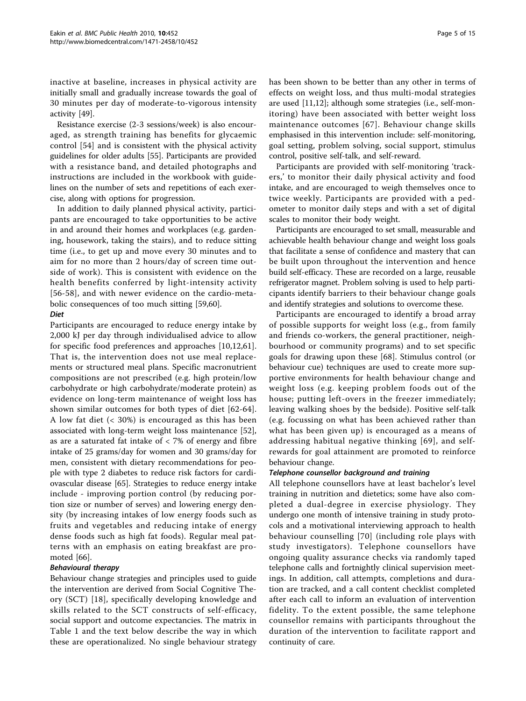inactive at baseline, increases in physical activity are initially small and gradually increase towards the goal of 30 minutes per day of moderate-to-vigorous intensity activity [\[49\]](#page-15-0).

Resistance exercise (2-3 sessions/week) is also encouraged, as strength training has benefits for glycaemic control [[54\]](#page-15-0) and is consistent with the physical activity guidelines for older adults [[55\]](#page-15-0). Participants are provided with a resistance band, and detailed photographs and instructions are included in the workbook with guidelines on the number of sets and repetitions of each exercise, along with options for progression.

In addition to daily planned physical activity, participants are encouraged to take opportunities to be active in and around their homes and workplaces (e.g. gardening, housework, taking the stairs), and to reduce sitting time (i.e., to get up and move every 30 minutes and to aim for no more than 2 hours/day of screen time outside of work). This is consistent with evidence on the health benefits conferred by light-intensity activity [[56](#page-15-0)-[58](#page-15-0)], and with newer evidence on the cardio-metabolic consequences of too much sitting [\[59,60\]](#page-15-0).

## Diet

Participants are encouraged to reduce energy intake by 2,000 kJ per day through individualised advice to allow for specific food preferences and approaches [[10,12](#page-14-0)[,61](#page-15-0)]. That is, the intervention does not use meal replacements or structured meal plans. Specific macronutrient compositions are not prescribed (e.g. high protein/low carbohydrate or high carbohydrate/moderate protein) as evidence on long-term maintenance of weight loss has shown similar outcomes for both types of diet [\[62](#page-15-0)-[64](#page-15-0)]. A low fat diet (< 30%) is encouraged as this has been associated with long-term weight loss maintenance [\[52](#page-15-0)], as are a saturated fat intake of  $<$  7% of energy and fibre intake of 25 grams/day for women and 30 grams/day for men, consistent with dietary recommendations for people with type 2 diabetes to reduce risk factors for cardiovascular disease [[65\]](#page-15-0). Strategies to reduce energy intake include - improving portion control (by reducing portion size or number of serves) and lowering energy density (by increasing intakes of low energy foods such as fruits and vegetables and reducing intake of energy dense foods such as high fat foods). Regular meal patterns with an emphasis on eating breakfast are promoted [\[66\]](#page-15-0).

#### Behavioural therapy

Behaviour change strategies and principles used to guide the intervention are derived from Social Cognitive Theory (SCT) [[18\]](#page-14-0), specifically developing knowledge and skills related to the SCT constructs of self-efficacy, social support and outcome expectancies. The matrix in Table [1](#page-7-0) and the text below describe the way in which these are operationalized. No single behaviour strategy has been shown to be better than any other in terms of effects on weight loss, and thus multi-modal strategies are used [\[11,12\]](#page-14-0); although some strategies (i.e., self-monitoring) have been associated with better weight loss maintenance outcomes [[67\]](#page-15-0). Behaviour change skills emphasised in this intervention include: self-monitoring, goal setting, problem solving, social support, stimulus control, positive self-talk, and self-reward.

Participants are provided with self-monitoring 'trackers,' to monitor their daily physical activity and food intake, and are encouraged to weigh themselves once to twice weekly. Participants are provided with a pedometer to monitor daily steps and with a set of digital scales to monitor their body weight.

Participants are encouraged to set small, measurable and achievable health behaviour change and weight loss goals that facilitate a sense of confidence and mastery that can be built upon throughout the intervention and hence build self-efficacy. These are recorded on a large, reusable refrigerator magnet. Problem solving is used to help participants identify barriers to their behaviour change goals and identify strategies and solutions to overcome these.

Participants are encouraged to identify a broad array of possible supports for weight loss (e.g., from family and friends co-workers, the general practitioner, neighbourhood or community programs) and to set specific goals for drawing upon these [\[68](#page-15-0)]. Stimulus control (or behaviour cue) techniques are used to create more supportive environments for health behaviour change and weight loss (e.g. keeping problem foods out of the house; putting left-overs in the freezer immediately; leaving walking shoes by the bedside). Positive self-talk (e.g. focussing on what has been achieved rather than what has been given up) is encouraged as a means of addressing habitual negative thinking [[69](#page-15-0)], and selfrewards for goal attainment are promoted to reinforce behaviour change.

## Telephone counsellor background and training

All telephone counsellors have at least bachelor's level training in nutrition and dietetics; some have also completed a dual-degree in exercise physiology. They undergo one month of intensive training in study protocols and a motivational interviewing approach to health behaviour counselling [[70\]](#page-15-0) (including role plays with study investigators). Telephone counsellors have ongoing quality assurance checks via randomly taped telephone calls and fortnightly clinical supervision meetings. In addition, call attempts, completions and duration are tracked, and a call content checklist completed after each call to inform an evaluation of intervention fidelity. To the extent possible, the same telephone counsellor remains with participants throughout the duration of the intervention to facilitate rapport and continuity of care.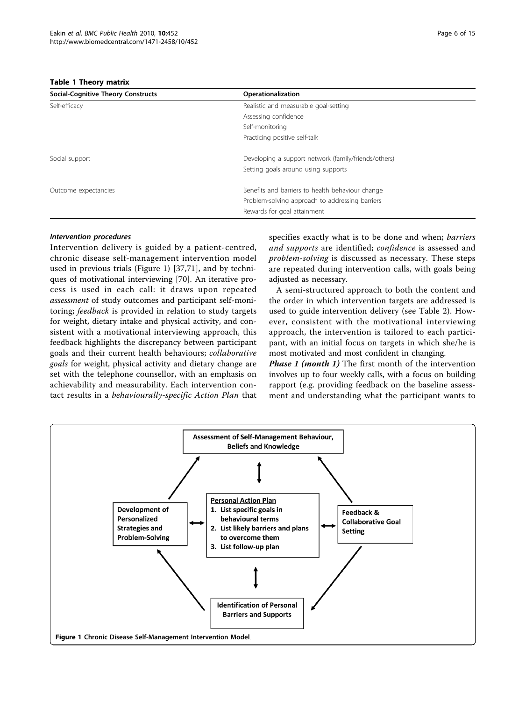| <b>Social-Cognitive Theory Constructs</b> | Operationalization                                   |  |  |
|-------------------------------------------|------------------------------------------------------|--|--|
| Self-efficacy                             | Realistic and measurable goal-setting                |  |  |
|                                           | Assessing confidence                                 |  |  |
|                                           | Self-monitoring                                      |  |  |
|                                           | Practicing positive self-talk                        |  |  |
| Social support                            | Developing a support network (family/friends/others) |  |  |
|                                           | Setting goals around using supports                  |  |  |
| Outcome expectancies                      | Benefits and barriers to health behaviour change     |  |  |
|                                           | Problem-solving approach to addressing barriers      |  |  |
|                                           | Rewards for goal attainment                          |  |  |

#### <span id="page-7-0"></span>Table 1 Theory matrix

#### Intervention procedures

Intervention delivery is guided by a patient-centred, chronic disease self-management intervention model used in previous trials (Figure 1) [\[37](#page-15-0),[71](#page-15-0)], and by techniques of motivational interviewing [\[70\]](#page-15-0). An iterative process is used in each call: it draws upon repeated assessment of study outcomes and participant self-monitoring; feedback is provided in relation to study targets for weight, dietary intake and physical activity, and consistent with a motivational interviewing approach, this feedback highlights the discrepancy between participant goals and their current health behaviours; collaborative goals for weight, physical activity and dietary change are set with the telephone counsellor, with an emphasis on achievability and measurability. Each intervention contact results in a behaviourally-specific Action Plan that specifies exactly what is to be done and when; barriers and supports are identified; confidence is assessed and problem-solving is discussed as necessary. These steps are repeated during intervention calls, with goals being adjusted as necessary.

A semi-structured approach to both the content and the order in which intervention targets are addressed is used to guide intervention delivery (see Table [2](#page-8-0)). However, consistent with the motivational interviewing approach, the intervention is tailored to each participant, with an initial focus on targets in which she/he is most motivated and most confident in changing.

**Phase 1 (month 1)** The first month of the intervention involves up to four weekly calls, with a focus on building rapport (e.g. providing feedback on the baseline assessment and understanding what the participant wants to

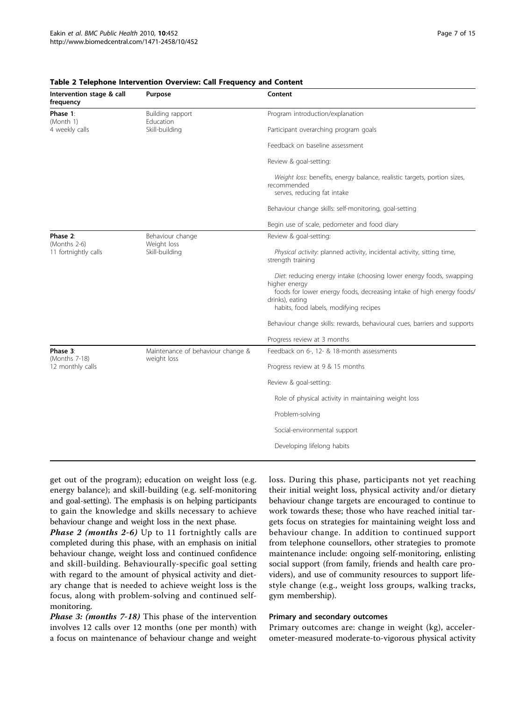| Intervention stage & call<br>frequency                       | Purpose                           | Content                                                                                                                                                                                                                    |  |  |  |
|--------------------------------------------------------------|-----------------------------------|----------------------------------------------------------------------------------------------------------------------------------------------------------------------------------------------------------------------------|--|--|--|
| Phase 1:<br>(Month 1)<br>4 weekly calls                      | Building rapport<br>Education     | Program introduction/explanation                                                                                                                                                                                           |  |  |  |
|                                                              | Skill-building                    | Participant overarching program goals                                                                                                                                                                                      |  |  |  |
|                                                              |                                   | Feedback on baseline assessment                                                                                                                                                                                            |  |  |  |
|                                                              |                                   | Review & goal-setting:                                                                                                                                                                                                     |  |  |  |
|                                                              |                                   | Weight loss: benefits, energy balance, realistic targets, portion sizes,<br>recommended<br>serves, reducing fat intake                                                                                                     |  |  |  |
|                                                              |                                   | Behaviour change skills: self-monitoring, goal-setting                                                                                                                                                                     |  |  |  |
|                                                              |                                   | Begin use of scale, pedometer and food diary                                                                                                                                                                               |  |  |  |
| Phase 2:<br>(Months 2-6)                                     | Behaviour change<br>Weight loss   | Review & goal-setting:                                                                                                                                                                                                     |  |  |  |
| 11 fortnightly calls                                         | Skill-building                    | Physical activity: planned activity, incidental activity, sitting time,<br>strength training                                                                                                                               |  |  |  |
|                                                              |                                   | Diet: reducing energy intake (choosing lower energy foods, swapping<br>higher energy<br>foods for lower energy foods, decreasing intake of high energy foods/<br>drinks), eating<br>habits, food labels, modifying recipes |  |  |  |
|                                                              |                                   | Behaviour change skills: rewards, behavioural cues, barriers and supports                                                                                                                                                  |  |  |  |
|                                                              |                                   | Progress review at 3 months                                                                                                                                                                                                |  |  |  |
| Phase 3:<br>(Months 7-18)<br>weight loss<br>12 monthly calls | Maintenance of behaviour change & | Feedback on 6-, 12- & 18-month assessments                                                                                                                                                                                 |  |  |  |
|                                                              |                                   | Progress review at 9 & 15 months                                                                                                                                                                                           |  |  |  |
|                                                              |                                   | Review & goal-setting:                                                                                                                                                                                                     |  |  |  |
|                                                              |                                   | Role of physical activity in maintaining weight loss                                                                                                                                                                       |  |  |  |
|                                                              |                                   | Problem-solving                                                                                                                                                                                                            |  |  |  |
|                                                              |                                   | Social-environmental support                                                                                                                                                                                               |  |  |  |
|                                                              |                                   | Developing lifelong habits                                                                                                                                                                                                 |  |  |  |
|                                                              |                                   |                                                                                                                                                                                                                            |  |  |  |

<span id="page-8-0"></span>

| Table 2 Telephone Intervention Overview: Call Frequency and Content |  |  |  |  |  |  |
|---------------------------------------------------------------------|--|--|--|--|--|--|
|---------------------------------------------------------------------|--|--|--|--|--|--|

get out of the program); education on weight loss (e.g. energy balance); and skill-building (e.g. self-monitoring and goal-setting). The emphasis is on helping participants to gain the knowledge and skills necessary to achieve behaviour change and weight loss in the next phase.

Phase 2 (months 2-6) Up to 11 fortnightly calls are completed during this phase, with an emphasis on initial behaviour change, weight loss and continued confidence and skill-building. Behaviourally-specific goal setting with regard to the amount of physical activity and dietary change that is needed to achieve weight loss is the focus, along with problem-solving and continued selfmonitoring.

Phase 3: (months 7-18) This phase of the intervention involves 12 calls over 12 months (one per month) with a focus on maintenance of behaviour change and weight loss. During this phase, participants not yet reaching their initial weight loss, physical activity and/or dietary behaviour change targets are encouraged to continue to work towards these; those who have reached initial targets focus on strategies for maintaining weight loss and behaviour change. In addition to continued support from telephone counsellors, other strategies to promote maintenance include: ongoing self-monitoring, enlisting social support (from family, friends and health care providers), and use of community resources to support lifestyle change (e.g., weight loss groups, walking tracks, gym membership).

#### Primary and secondary outcomes

Primary outcomes are: change in weight (kg), accelerometer-measured moderate-to-vigorous physical activity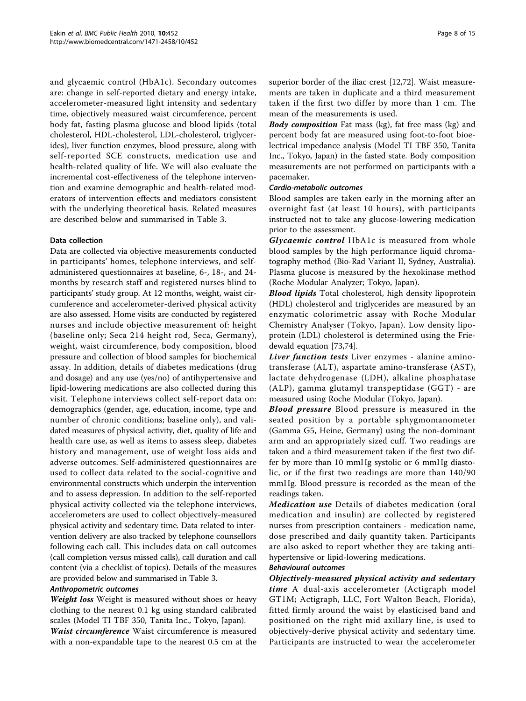and glycaemic control (HbA1c). Secondary outcomes are: change in self-reported dietary and energy intake, accelerometer-measured light intensity and sedentary time, objectively measured waist circumference, percent body fat, fasting plasma glucose and blood lipids (total cholesterol, HDL-cholesterol, LDL-cholesterol, triglycerides), liver function enzymes, blood pressure, along with self-reported SCE constructs, medication use and health-related quality of life. We will also evaluate the incremental cost-effectiveness of the telephone intervention and examine demographic and health-related moderators of intervention effects and mediators consistent with the underlying theoretical basis. Related measures are described below and summarised in Table [3](#page-10-0).

## Data collection

Data are collected via objective measurements conducted in participants' homes, telephone interviews, and selfadministered questionnaires at baseline, 6-, 18-, and 24 months by research staff and registered nurses blind to participants' study group. At 12 months, weight, waist circumference and accelerometer-derived physical activity are also assessed. Home visits are conducted by registered nurses and include objective measurement of: height (baseline only; Seca 214 height rod, Seca, Germany), weight, waist circumference, body composition, blood pressure and collection of blood samples for biochemical assay. In addition, details of diabetes medications (drug and dosage) and any use (yes/no) of antihypertensive and lipid-lowering medications are also collected during this visit. Telephone interviews collect self-report data on: demographics (gender, age, education, income, type and number of chronic conditions; baseline only), and validated measures of physical activity, diet, quality of life and health care use, as well as items to assess sleep, diabetes history and management, use of weight loss aids and adverse outcomes. Self-administered questionnaires are used to collect data related to the social-cognitive and environmental constructs which underpin the intervention and to assess depression. In addition to the self-reported physical activity collected via the telephone interviews, accelerometers are used to collect objectively-measured physical activity and sedentary time. Data related to intervention delivery are also tracked by telephone counsellors following each call. This includes data on call outcomes (call completion versus missed calls), call duration and call content (via a checklist of topics). Details of the measures are provided below and summarised in Table [3](#page-10-0).

## Anthropometric outcomes

Weight loss Weight is measured without shoes or heavy clothing to the nearest 0.1 kg using standard calibrated scales (Model TI TBF 350, Tanita Inc., Tokyo, Japan).

Waist circumference Waist circumference is measured with a non-expandable tape to the nearest 0.5 cm at the superior border of the iliac crest [\[12,](#page-14-0)[72\]](#page-16-0). Waist measurements are taken in duplicate and a third measurement taken if the first two differ by more than 1 cm. The mean of the measurements is used.

Body composition Fat mass (kg), fat free mass (kg) and percent body fat are measured using foot-to-foot bioelectrical impedance analysis (Model TI TBF 350, Tanita Inc., Tokyo, Japan) in the fasted state. Body composition measurements are not performed on participants with a pacemaker.

## Cardio-metabolic outcomes

Blood samples are taken early in the morning after an overnight fast (at least 10 hours), with participants instructed not to take any glucose-lowering medication prior to the assessment.

Glycaemic control HbA1c is measured from whole blood samples by the high performance liquid chromatography method (Bio-Rad Variant II, Sydney, Australia). Plasma glucose is measured by the hexokinase method (Roche Modular Analyzer; Tokyo, Japan).

**Blood lipids** Total cholesterol, high density lipoprotein (HDL) cholesterol and triglycerides are measured by an enzymatic colorimetric assay with Roche Modular Chemistry Analyser (Tokyo, Japan). Low density lipoprotein (LDL) cholesterol is determined using the Friedewald equation [\[73,74\]](#page-16-0).

Liver function tests Liver enzymes - alanine aminotransferase (ALT), aspartate amino-transferase (AST), lactate dehydrogenase (LDH), alkaline phosphatase (ALP), gamma glutamyl transpeptidase (GGT) - are measured using Roche Modular (Tokyo, Japan).

**Blood pressure** Blood pressure is measured in the seated position by a portable sphygmomanometer (Gamma G5, Heine, Germany) using the non-dominant arm and an appropriately sized cuff. Two readings are taken and a third measurement taken if the first two differ by more than 10 mmHg systolic or 6 mmHg diastolic, or if the first two readings are more than 140/90 mmHg. Blood pressure is recorded as the mean of the readings taken.

Medication use Details of diabetes medication (oral medication and insulin) are collected by registered nurses from prescription containers - medication name, dose prescribed and daily quantity taken. Participants are also asked to report whether they are taking antihypertensive or lipid-lowering medications.

## Behavioural outcomes

Objectively-measured physical activity and sedentary time A dual-axis accelerometer (Actigraph model GT1M; Actigraph, LLC, Fort Walton Beach, Florida), fitted firmly around the waist by elasticised band and positioned on the right mid axillary line, is used to objectively-derive physical activity and sedentary time. Participants are instructed to wear the accelerometer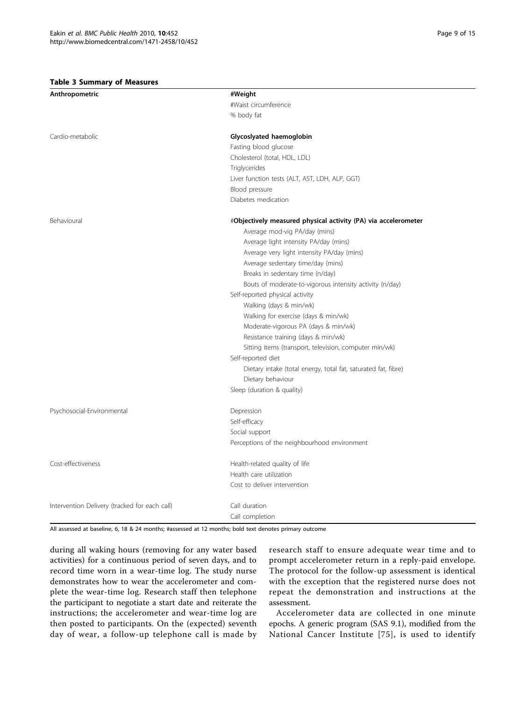#### <span id="page-10-0"></span>Table 3 Summary of Measures

| Anthropometric                                | #Weight                                                        |  |  |  |  |
|-----------------------------------------------|----------------------------------------------------------------|--|--|--|--|
|                                               | #Waist circumference                                           |  |  |  |  |
|                                               | % body fat                                                     |  |  |  |  |
| Cardio-metabolic                              | Glycoslyated haemoglobin                                       |  |  |  |  |
|                                               | Fasting blood glucose                                          |  |  |  |  |
|                                               | Cholesterol (total, HDL, LDL)                                  |  |  |  |  |
|                                               | Triglycerides                                                  |  |  |  |  |
|                                               | Liver function tests (ALT, AST, LDH, ALP, GGT)                 |  |  |  |  |
|                                               | Blood pressure                                                 |  |  |  |  |
|                                               | Diabetes medication                                            |  |  |  |  |
| Behavioural                                   | #Objectively measured physical activity (PA) via accelerometer |  |  |  |  |
|                                               | Average mod-vig PA/day (mins)                                  |  |  |  |  |
|                                               | Average light intensity PA/day (mins)                          |  |  |  |  |
|                                               | Average very light intensity PA/day (mins)                     |  |  |  |  |
|                                               | Average sedentary time/day (mins)                              |  |  |  |  |
|                                               | Breaks in sedentary time (n/day)                               |  |  |  |  |
|                                               | Bouts of moderate-to-vigorous intensity activity (n/day)       |  |  |  |  |
|                                               | Self-reported physical activity                                |  |  |  |  |
|                                               | Walking (days & min/wk)                                        |  |  |  |  |
|                                               | Walking for exercise (days & min/wk)                           |  |  |  |  |
|                                               | Moderate-vigorous PA (days & min/wk)                           |  |  |  |  |
|                                               | Resistance training (days & min/wk)                            |  |  |  |  |
|                                               | Sitting items (transport, television, computer min/wk)         |  |  |  |  |
|                                               | Self-reported diet                                             |  |  |  |  |
|                                               | Dietary intake (total energy, total fat, saturated fat, fibre) |  |  |  |  |
|                                               | Dietary behaviour                                              |  |  |  |  |
|                                               | Sleep (duration & quality)                                     |  |  |  |  |
| Psychosocial-Environmental                    | Depression                                                     |  |  |  |  |
|                                               | Self-efficacy                                                  |  |  |  |  |
|                                               | Social support                                                 |  |  |  |  |
|                                               | Perceptions of the neighbourhood environment                   |  |  |  |  |
| Cost-effectiveness                            | Health-related quality of life                                 |  |  |  |  |
|                                               | Health care utilization                                        |  |  |  |  |
|                                               | Cost to deliver intervention                                   |  |  |  |  |
| Intervention Delivery (tracked for each call) | Call duration                                                  |  |  |  |  |
|                                               | Call completion                                                |  |  |  |  |

All assessed at baseline, 6, 18 & 24 months; #assessed at 12 months; bold text denotes primary outcome

during all waking hours (removing for any water based activities) for a continuous period of seven days, and to record time worn in a wear-time log. The study nurse demonstrates how to wear the accelerometer and complete the wear-time log. Research staff then telephone the participant to negotiate a start date and reiterate the instructions; the accelerometer and wear-time log are then posted to participants. On the (expected) seventh day of wear, a follow-up telephone call is made by research staff to ensure adequate wear time and to prompt accelerometer return in a reply-paid envelope. The protocol for the follow-up assessment is identical with the exception that the registered nurse does not repeat the demonstration and instructions at the assessment.

Accelerometer data are collected in one minute epochs. A generic program (SAS 9.1), modified from the National Cancer Institute [[75](#page-16-0)], is used to identify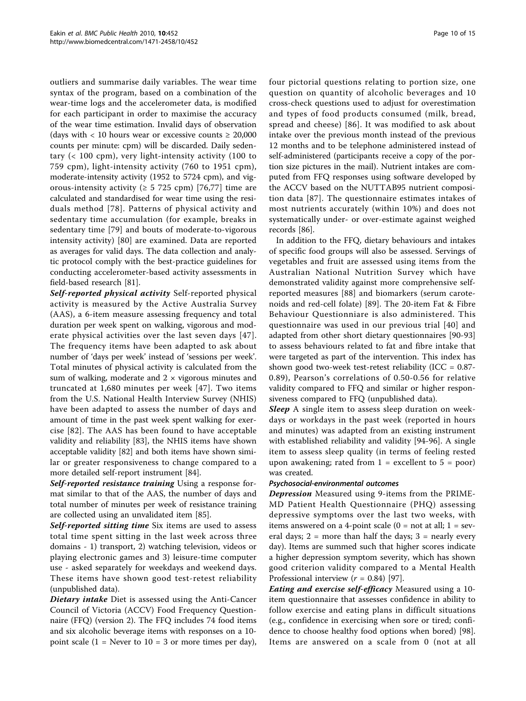outliers and summarise daily variables. The wear time syntax of the program, based on a combination of the wear-time logs and the accelerometer data, is modified for each participant in order to maximise the accuracy of the wear time estimation. Invalid days of observation (days with  $< 10$  hours wear or excessive counts  $\geq 20,000$ counts per minute: cpm) will be discarded. Daily sedentary (< 100 cpm), very light-intensity activity (100 to 759 cpm), light-intensity activity (760 to 1951 cpm), moderate-intensity activity (1952 to 5724 cpm), and vigorous-intensity activity ( $\geq$  5 725 cpm) [[76,77\]](#page-16-0) time are calculated and standardised for wear time using the residuals method [[78\]](#page-16-0). Patterns of physical activity and sedentary time accumulation (for example, breaks in sedentary time [[79\]](#page-16-0) and bouts of moderate-to-vigorous intensity activity) [\[80](#page-16-0)] are examined. Data are reported as averages for valid days. The data collection and analytic protocol comply with the best-practice guidelines for conducting accelerometer-based activity assessments in field-based research [\[81\]](#page-16-0).

Self-reported physical activity Self-reported physical activity is measured by the Active Australia Survey (AAS), a 6-item measure assessing frequency and total duration per week spent on walking, vigorous and moderate physical activities over the last seven days [[47\]](#page-15-0). The frequency items have been adapted to ask about number of 'days per week' instead of 'sessions per week'. Total minutes of physical activity is calculated from the sum of walking, moderate and  $2 \times$  vigorous minutes and truncated at 1,680 minutes per week [[47](#page-15-0)]. Two items from the U.S. National Health Interview Survey (NHIS) have been adapted to assess the number of days and amount of time in the past week spent walking for exercise [\[82\]](#page-16-0). The AAS has been found to have acceptable validity and reliability [[83\]](#page-16-0), the NHIS items have shown acceptable validity [[82](#page-16-0)] and both items have shown similar or greater responsiveness to change compared to a more detailed self-report instrument [[84\]](#page-16-0).

Self-reported resistance training Using a response format similar to that of the AAS, the number of days and total number of minutes per week of resistance training are collected using an unvalidated item [\[85](#page-16-0)].

Self-reported sitting time Six items are used to assess total time spent sitting in the last week across three domains - 1) transport, 2) watching television, videos or playing electronic games and 3) leisure-time computer use - asked separately for weekdays and weekend days. These items have shown good test-retest reliability (unpublished data).

Dietary intake Diet is assessed using the Anti-Cancer Council of Victoria (ACCV) Food Frequency Questionnaire (FFQ) (version 2). The FFQ includes 74 food items and six alcoholic beverage items with responses on a 10 point scale  $(1 =$  Never to  $10 = 3$  or more times per day), four pictorial questions relating to portion size, one question on quantity of alcoholic beverages and 10 cross-check questions used to adjust for overestimation and types of food products consumed (milk, bread, spread and cheese) [[86](#page-16-0)]. It was modified to ask about intake over the previous month instead of the previous 12 months and to be telephone administered instead of self-administered (participants receive a copy of the portion size pictures in the mail). Nutrient intakes are computed from FFQ responses using software developed by the ACCV based on the NUTTAB95 nutrient composition data [[87\]](#page-16-0). The questionnaire estimates intakes of most nutrients accurately (within 10%) and does not systematically under- or over-estimate against weighed records [\[86\]](#page-16-0).

In addition to the FFQ, dietary behaviours and intakes of specific food groups will also be assessed. Servings of vegetables and fruit are assessed using items from the Australian National Nutrition Survey which have demonstrated validity against more comprehensive selfreported measures [[88](#page-16-0)] and biomarkers (serum carotenoids and red-cell folate) [[89\]](#page-16-0). The 20-item Fat & Fibre Behaviour Questionniare is also administered. This questionnaire was used in our previous trial [[40\]](#page-15-0) and adapted from other short dietary questionnaires [[90-93](#page-16-0)] to assess behaviours related to fat and fibre intake that were targeted as part of the intervention. This index has shown good two-week test-retest reliability (ICC = 0.87- 0.89), Pearson's correlations of 0.50-0.56 for relative validity compared to FFQ and similar or higher responsiveness compared to FFQ (unpublished data).

Sleep A single item to assess sleep duration on weekdays or workdays in the past week (reported in hours and minutes) was adapted from an existing instrument with established reliability and validity [\[94](#page-16-0)-[96\]](#page-16-0). A single item to assess sleep quality (in terms of feeling rested upon awakening; rated from  $1 =$  excellent to  $5 =$  poor) was created.

## Psychosocial-environmental outcomes

**Depression** Measured using 9-items from the PRIME-MD Patient Health Questionnaire (PHQ) assessing depressive symptoms over the last two weeks, with items answered on a 4-point scale  $(0 = not at all; 1 = sev$ eral days;  $2 =$  more than half the days;  $3 =$  nearly every day). Items are summed such that higher scores indicate a higher depression symptom severity, which has shown good criterion validity compared to a Mental Health Professional interview  $(r = 0.84)$  [[97\]](#page-16-0).

Eating and exercise self-efficacy Measured using a 10 item questionnaire that assesses confidence in ability to follow exercise and eating plans in difficult situations (e.g., confidence in exercising when sore or tired; confidence to choose healthy food options when bored) [\[98](#page-16-0)]. Items are answered on a scale from 0 (not at all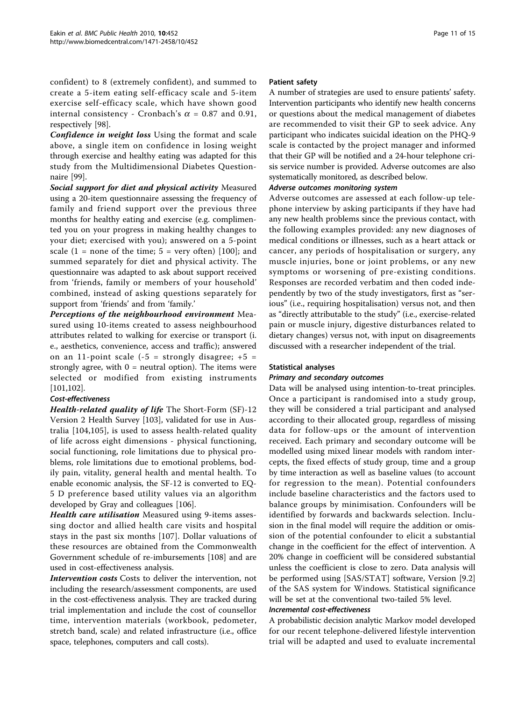confident) to 8 (extremely confident), and summed to create a 5-item eating self-efficacy scale and 5-item exercise self-efficacy scale, which have shown good internal consistency - Cronbach's  $\alpha$  = 0.87 and 0.91, respectively [\[98](#page-16-0)].

Confidence in weight loss Using the format and scale above, a single item on confidence in losing weight through exercise and healthy eating was adapted for this study from the Multidimensional Diabetes Questionnaire [\[99](#page-16-0)].

Social support for diet and physical activity Measured using a 20-item questionnaire assessing the frequency of family and friend support over the previous three months for healthy eating and exercise (e.g. complimented you on your progress in making healthy changes to your diet; exercised with you); answered on a 5-point scale (1 = none of the time;  $5$  = very often) [[100](#page-16-0)]; and summed separately for diet and physical activity. The questionnaire was adapted to ask about support received from 'friends, family or members of your household' combined, instead of asking questions separately for support from 'friends' and from 'family.'

Perceptions of the neighbourhood environment Measured using 10-items created to assess neighbourhood attributes related to walking for exercise or transport (i. e., aesthetics, convenience, access and traffic); answered on an 11-point scale  $(-5 =$  strongly disagree;  $+5 =$ strongly agree, with  $0 =$  neutral option). The items were selected or modified from existing instruments [[101](#page-16-0),[102](#page-16-0)].

## Cost-effectiveness

Health-related quality of life The Short-Form (SF)-12 Version 2 Health Survey [[103](#page-16-0)], validated for use in Australia [[104](#page-16-0),[105\]](#page-16-0), is used to assess health-related quality of life across eight dimensions - physical functioning, social functioning, role limitations due to physical problems, role limitations due to emotional problems, bodily pain, vitality, general health and mental health. To enable economic analysis, the SF-12 is converted to EQ-5 D preference based utility values via an algorithm developed by Gray and colleagues [\[106\]](#page-16-0).

Health care utilisation Measured using 9-items assessing doctor and allied health care visits and hospital stays in the past six months [[107\]](#page-16-0). Dollar valuations of these resources are obtained from the Commonwealth Government schedule of re-imbursements [\[108](#page-16-0)] and are used in cost-effectiveness analysis.

Intervention costs Costs to deliver the intervention, not including the research/assessment components, are used in the cost-effectiveness analysis. They are tracked during trial implementation and include the cost of counsellor time, intervention materials (workbook, pedometer, stretch band, scale) and related infrastructure (i.e., office space, telephones, computers and call costs).

#### Patient safety

A number of strategies are used to ensure patients' safety. Intervention participants who identify new health concerns or questions about the medical management of diabetes are recommended to visit their GP to seek advice. Any participant who indicates suicidal ideation on the PHQ-9 scale is contacted by the project manager and informed that their GP will be notified and a 24-hour telephone crisis service number is provided. Adverse outcomes are also systematically monitored, as described below.

## Adverse outcomes monitoring system

Adverse outcomes are assessed at each follow-up telephone interview by asking participants if they have had any new health problems since the previous contact, with the following examples provided: any new diagnoses of medical conditions or illnesses, such as a heart attack or cancer, any periods of hospitalisation or surgery, any muscle injuries, bone or joint problems, or any new symptoms or worsening of pre-existing conditions. Responses are recorded verbatim and then coded independently by two of the study investigators, first as "serious" (i.e., requiring hospitalisation) versus not, and then as "directly attributable to the study" (i.e., exercise-related pain or muscle injury, digestive disturbances related to dietary changes) versus not, with input on disagreements discussed with a researcher independent of the trial.

#### Statistical analyses

## Primary and secondary outcomes

Data will be analysed using intention-to-treat principles. Once a participant is randomised into a study group, they will be considered a trial participant and analysed according to their allocated group, regardless of missing data for follow-ups or the amount of intervention received. Each primary and secondary outcome will be modelled using mixed linear models with random intercepts, the fixed effects of study group, time and a group by time interaction as well as baseline values (to account for regression to the mean). Potential confounders include baseline characteristics and the factors used to balance groups by minimisation. Confounders will be identified by forwards and backwards selection. Inclusion in the final model will require the addition or omission of the potential confounder to elicit a substantial change in the coefficient for the effect of intervention. A 20% change in coefficient will be considered substantial unless the coefficient is close to zero. Data analysis will be performed using [SAS/STAT] software, Version [9.2] of the SAS system for Windows. Statistical significance will be set at the conventional two-tailed 5% level. Incremental cost-effectiveness

A probabilistic decision analytic Markov model developed for our recent telephone-delivered lifestyle intervention trial will be adapted and used to evaluate incremental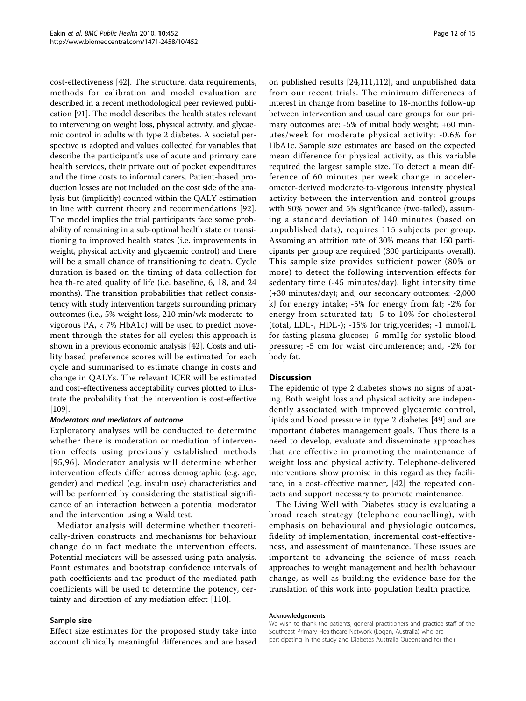cost-effectiveness [\[42](#page-15-0)]. The structure, data requirements, methods for calibration and model evaluation are described in a recent methodological peer reviewed publication [\[91\]](#page-16-0). The model describes the health states relevant to intervening on weight loss, physical activity, and glycaemic control in adults with type 2 diabetes. A societal perspective is adopted and values collected for variables that describe the participant's use of acute and primary care health services, their private out of pocket expenditures and the time costs to informal carers. Patient-based production losses are not included on the cost side of the analysis but (implicitly) counted within the QALY estimation in line with current theory and recommendations [[92](#page-16-0)]. The model implies the trial participants face some probability of remaining in a sub-optimal health state or transitioning to improved health states (i.e. improvements in weight, physical activity and glycaemic control) and there will be a small chance of transitioning to death. Cycle duration is based on the timing of data collection for health-related quality of life (i.e. baseline, 6, 18, and 24 months). The transition probabilities that reflect consistency with study intervention targets surrounding primary outcomes (i.e., 5% weight loss, 210 min/wk moderate-tovigorous PA, < 7% HbA1c) will be used to predict movement through the states for all cycles; this approach is shown in a previous economic analysis [[42](#page-15-0)]. Costs and utility based preference scores will be estimated for each cycle and summarised to estimate change in costs and change in QALYs. The relevant ICER will be estimated and cost-effectiveness acceptability curves plotted to illustrate the probability that the intervention is cost-effective [[109](#page-16-0)].

## Moderators and mediators of outcome

Exploratory analyses will be conducted to determine whether there is moderation or mediation of intervention effects using previously established methods [[95](#page-16-0),[96](#page-16-0)]. Moderator analysis will determine whether intervention effects differ across demographic (e.g. age, gender) and medical (e.g. insulin use) characteristics and will be performed by considering the statistical significance of an interaction between a potential moderator and the intervention using a Wald test.

Mediator analysis will determine whether theoretically-driven constructs and mechanisms for behaviour change do in fact mediate the intervention effects. Potential mediators will be assessed using path analysis. Point estimates and bootstrap confidence intervals of path coefficients and the product of the mediated path coefficients will be used to determine the potency, certainty and direction of any mediation effect [[110](#page-16-0)].

#### Sample size

Effect size estimates for the proposed study take into account clinically meaningful differences and are based on published results [[24,](#page-14-0)[111,112\]](#page-16-0), and unpublished data from our recent trials. The minimum differences of interest in change from baseline to 18-months follow-up between intervention and usual care groups for our primary outcomes are: -5% of initial body weight; +60 minutes/week for moderate physical activity; -0.6% for HbA1c. Sample size estimates are based on the expected mean difference for physical activity, as this variable required the largest sample size. To detect a mean difference of 60 minutes per week change in accelerometer-derived moderate-to-vigorous intensity physical activity between the intervention and control groups with 90% power and 5% significance (two-tailed), assuming a standard deviation of 140 minutes (based on unpublished data), requires 115 subjects per group. Assuming an attrition rate of 30% means that 150 participants per group are required (300 participants overall). This sample size provides sufficient power (80% or more) to detect the following intervention effects for sedentary time (-45 minutes/day); light intensity time (+30 minutes/day); and, our secondary outcomes: -2,000 kJ for energy intake; -5% for energy from fat; -2% for energy from saturated fat; -5 to 10% for cholesterol (total, LDL-, HDL-); -15% for triglycerides; -1 mmol/L for fasting plasma glucose; -5 mmHg for systolic blood pressure; -5 cm for waist circumference; and, -2% for body fat.

## **Discussion**

The epidemic of type 2 diabetes shows no signs of abating. Both weight loss and physical activity are independently associated with improved glycaemic control, lipids and blood pressure in type 2 diabetes [[49](#page-15-0)] and are important diabetes management goals. Thus there is a need to develop, evaluate and disseminate approaches that are effective in promoting the maintenance of weight loss and physical activity. Telephone-delivered interventions show promise in this regard as they facilitate, in a cost-effective manner, [[42\]](#page-15-0) the repeated contacts and support necessary to promote maintenance.

The Living Well with Diabetes study is evaluating a broad reach strategy (telephone counselling), with emphasis on behavioural and physiologic outcomes, fidelity of implementation, incremental cost-effectiveness, and assessment of maintenance. These issues are important to advancing the science of mass reach approaches to weight management and health behaviour change, as well as building the evidence base for the translation of this work into population health practice.

#### Acknowledgements

We wish to thank the patients, general practitioners and practice staff of the Southeast Primary Healthcare Network (Logan, Australia) who are participating in the study and Diabetes Australia Queensland for their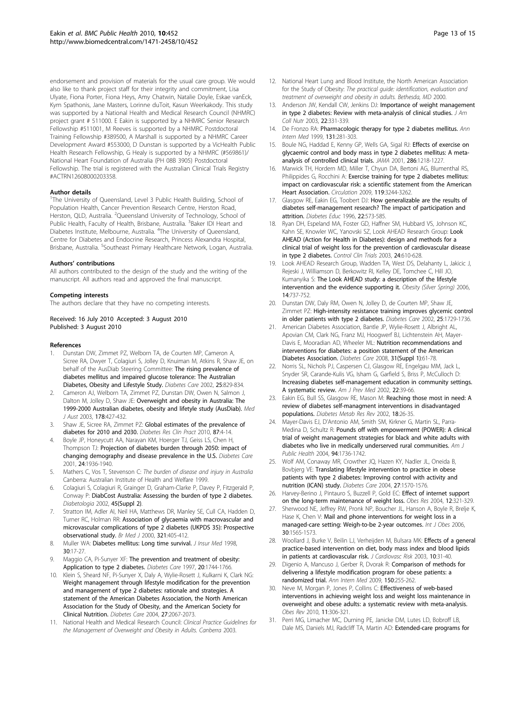<span id="page-14-0"></span>endorsement and provision of materials for the usual care group. We would also like to thank project staff for their integrity and commitment, Lisa Ulyate, Fiona Porter, Fiona Heys, Amy Chatwin, Natalie Doyle, Eskae vanEck, Kym Spathonis, Jane Masters, Lorinne duToit, Kasun Weerkakody. This study was supported by a National Health and Medical Research Council (NHMRC) project grant # 511000. E Eakin is supported by a NHMRC Senior Research Fellowship #511001, M Reeves is supported by a NHMRC Postdoctoral Training Fellowship #389500, A Marshall is supported by a NHMRC Career Development Award #553000, D Dunstan is supported by a VicHealth Public Health Research Fellowship, G Healy is supported by a NHMRC (#569861)/ National Heart Foundation of Australia (PH 08B 3905) Postdoctoral Fellowship. The trial is registered with the Australian Clinical Trials Registry #ACTRN12608000203358.

#### Author details

<sup>1</sup>The University of Queensland, Level 3 Public Health Building, School of Population Health, Cancer Prevention Research Centre, Herston Road, Herston, QLD, Australia. <sup>2</sup>Queensland University of Technology, School of Public Health, Faculty of Health, Brisbane, Australia. <sup>3</sup>Baker IDI Heart and Diabetes Institute, Melbourne, Australia. <sup>4</sup>The University of Queensland, Centre for Diabetes and Endocrine Research, Princess Alexandra Hospital, Brisbane, Australia. <sup>5</sup>Southeast Primary Healthcare Network, Logan, Australia.

#### Authors' contributions

All authors contributed to the design of the study and the writing of the manuscript. All authors read and approved the final manuscript.

#### Competing interests

The authors declare that they have no competing interests.

#### Received: 16 July 2010 Accepted: 3 August 2010 Published: 3 August 2010

#### References

- 1. Dunstan DW, Zimmet PZ, Welborn TA, de Courten MP, Cameron A, Sicree RA, Dwyer T, Colagiuri S, Jolley D, Knuiman M, Atkins R, Shaw JE, on behalf of the AusDiab Steering Committee: [The rising prevalence of](http://www.ncbi.nlm.nih.gov/pubmed/11978676?dopt=Abstract) [diabetes mellitus and impaired glucose tolerance: The Australian](http://www.ncbi.nlm.nih.gov/pubmed/11978676?dopt=Abstract) [Diabetes, Obesity and Lifestyle Study.](http://www.ncbi.nlm.nih.gov/pubmed/11978676?dopt=Abstract) Diabetes Care 2002, 25:829-834.
- 2. Cameron AJ, Welborn TA, Zimmet PZ, Dunstan DW, Owen N, Salmon J, Dalton M, Jolley D, Shaw JE: [Overweight and obesity in Australia: The](http://www.ncbi.nlm.nih.gov/pubmed/12720507?dopt=Abstract) [1999-2000 Australian diabetes, obesity and lifetyle study \(AusDiab\).](http://www.ncbi.nlm.nih.gov/pubmed/12720507?dopt=Abstract) Med J Aust 2003, 178:427-432.
- 3. Shaw JE, Sicree RA, Zimmet PZ: [Global estimates of the prevalence of](http://www.ncbi.nlm.nih.gov/pubmed/19896746?dopt=Abstract) [diabetes for 2010 and 2030.](http://www.ncbi.nlm.nih.gov/pubmed/19896746?dopt=Abstract) Diabetes Res Clin Pract 2010, 87:4-14.
- 4. Boyle JP, Honeycutt AA, Narayan KM, Hoerger TJ, Geiss LS, Chen H, Thompson TJ: [Projection of diabetes burden through 2050: impact of](http://www.ncbi.nlm.nih.gov/pubmed/11679460?dopt=Abstract) [changing demography and disease prevalence in the U.S.](http://www.ncbi.nlm.nih.gov/pubmed/11679460?dopt=Abstract) Diabetes Care 2001, 24:1936-1940.
- Mathers C, Vos T, Stevenson C: The burden of disease and injury in Australia Canberra: Australian Institute of Health and Welfare 1999.
- 6. Colagiuri S, Colagiuri R, Grainger D, Graham-Clarke P, Davey P, Fitzgerald P, Conway P: DiabCost Australia: Assessing the burden of type 2 diabetes. Diabetologia 2002, 45(Suppl 2).
- Stratton IM, Adler AI, Neil HA, Matthews DR, Manley SE, Cull CA, Hadden D, Turner RC, Holman RR: Association of glycaemia with macrovascular and microvascular complications of type 2 diabetes (UKPDS 35): Prospective observational study. Br Med J 2000, 321:405-412.
- 8. Muller WA: [Diabetes mellitus: Long time survival.](http://www.ncbi.nlm.nih.gov/pubmed/10186435?dopt=Abstract) J Insur Med 1998, 30:17-27.
- 9. Maggio CA, Pi-Sunyer XF: [The prevention and treatment of obesity:](http://www.ncbi.nlm.nih.gov/pubmed/9353619?dopt=Abstract) [Application to type 2 diabetes.](http://www.ncbi.nlm.nih.gov/pubmed/9353619?dopt=Abstract) Diabetes Care 1997, 20:1744-1766.
- 10. Klein S, Sheard NF, Pi-Sunyer X, Daly A, Wylie-Rosett J, Kulkarni K, Clark NG: [Weight management through lifestyle modification for the prevention](http://www.ncbi.nlm.nih.gov/pubmed/15277443?dopt=Abstract) [and management of type 2 diabetes: rationale and strategies. A](http://www.ncbi.nlm.nih.gov/pubmed/15277443?dopt=Abstract) [statement of the American Diabetes Association, the North American](http://www.ncbi.nlm.nih.gov/pubmed/15277443?dopt=Abstract) [Association for the Study of Obesity, and the American Society for](http://www.ncbi.nlm.nih.gov/pubmed/15277443?dopt=Abstract) [Clinical Nutrition.](http://www.ncbi.nlm.nih.gov/pubmed/15277443?dopt=Abstract) Diabetes Care 2004, 27:2067-2073.
- 11. National Health and Medical Research Council: Clinical Practice Guidelines for the Management of Overweight and Obesity in Adults. Canberra 2003.
- 12. National Heart Lung and Blood Institute, the North American Association for the Study of Obesity: The practical guide: identification, evaluation and treatment of overweight and obesity in adults. Bethesda, MD 2000.
- 13. Anderson JW, Kendall CW, Jenkins DJ: [Importance of weight management](http://www.ncbi.nlm.nih.gov/pubmed/14559925?dopt=Abstract) [in type 2 diabetes: Review with meta-analysis of clinical studies.](http://www.ncbi.nlm.nih.gov/pubmed/14559925?dopt=Abstract) J Am Coll Nutr 2003, 22:331-339.
- 14. De Fronzo RA: [Pharmacologic therapy for type 2 diabetes mellitus.](http://www.ncbi.nlm.nih.gov/pubmed/10454950?dopt=Abstract) Ann Intern Med 1999, 131:281-303.
- 15. Boule NG, Haddad E, Kenny GP, Wells GA, Sigal RJ: [Effects of exercise on](http://www.ncbi.nlm.nih.gov/pubmed/11559268?dopt=Abstract) [glycaemic control and body mass in type 2 diabetes mellitus: A meta](http://www.ncbi.nlm.nih.gov/pubmed/11559268?dopt=Abstract)[analysis of controlled clinical trials.](http://www.ncbi.nlm.nih.gov/pubmed/11559268?dopt=Abstract) JAMA 2001, 286:1218-1227.
- 16. Marwick TH, Hordern MD, Miller T, Chyun DA, Bertoni AG, Blumenthal RS, Philippides G, Rocchini A: [Exercise training for type 2 diabetes mellitus:](http://www.ncbi.nlm.nih.gov/pubmed/19506108?dopt=Abstract) [impact on cardiovascular risk: a scientific statement from the American](http://www.ncbi.nlm.nih.gov/pubmed/19506108?dopt=Abstract) [Heart Association.](http://www.ncbi.nlm.nih.gov/pubmed/19506108?dopt=Abstract) Circulation 2009, 119:3244-3262.
- 17. Glasgow RE, Eakin EG, Toobert DJ: [How generalizable are the results of](http://www.ncbi.nlm.nih.gov/pubmed/8970287?dopt=Abstract) [diabetes self-management research? The impact of participation and](http://www.ncbi.nlm.nih.gov/pubmed/8970287?dopt=Abstract) [attrition.](http://www.ncbi.nlm.nih.gov/pubmed/8970287?dopt=Abstract) Diabetes Educ 1996, 22:573-585.
- 18. Ryan DH, Espeland MA, Foster GD, Haffner SM, Hubbard VS, Johnson KC, Kahn SE, Knowler WC, Yanovski SZ, Look AHEAD Research Group: [Look](http://www.ncbi.nlm.nih.gov/pubmed/14500058?dopt=Abstract) [AHEAD \(Action for Health in Diabetes\): design and methods for a](http://www.ncbi.nlm.nih.gov/pubmed/14500058?dopt=Abstract) [clinical trial of weight loss for the prevention of cardiovascular disease](http://www.ncbi.nlm.nih.gov/pubmed/14500058?dopt=Abstract) [in type 2 diabetes.](http://www.ncbi.nlm.nih.gov/pubmed/14500058?dopt=Abstract) Control Clin Trials 2003, 24:610-628.
- 19. Look AHEAD Research Group, Wadden TA, West DS, Delahanty L, Jakicic J, Rejeski J, Williamson D, Berkowitz RI, Kelley DE, Tomchee C, Hill JO, Kumanyika S: [The Look AHEAD study: a description of the lifestyle](http://www.ncbi.nlm.nih.gov/pubmed/16855180?dopt=Abstract) [intervention and the evidence supporting it.](http://www.ncbi.nlm.nih.gov/pubmed/16855180?dopt=Abstract) Obesity (Silver Spring) 2006, 14:737-752.
- 20. Dunstan DW, Daly RM, Owen N, Jolley D, de Courten MP, Shaw JE, Zimmet PZ: [High-intensity resistance training improves glycemic control](http://www.ncbi.nlm.nih.gov/pubmed/12351469?dopt=Abstract) [in older patients with type 2 diabetes.](http://www.ncbi.nlm.nih.gov/pubmed/12351469?dopt=Abstract) Diabetes Care 2002, 25:1729-1736.
- 21. American Diabetes Association, Bantle JP, Wylie-Rosett J, Albright AL, Apovian CM, Clark NG, Franz MJ, Hoogwerf BJ, Lichtenstein AH, Mayer-Davis E, Mooradian AD, Wheeler ML: Nutrition recommendations and interventions for diabetes: a position statement of the American Diabetes Association. Diabetes Care 2008, 31(Suppl 1):61-78.
- 22. Norris SL, Nichols PJ, Caspersen CJ, Glasgow RE, Engelgau MM, Jack L, Snyder SR, Carande-Kulis VG, Isham G, Garfield S, Briss P, McCulloch D: [Increasing diabetes self-management education in community settings.](http://www.ncbi.nlm.nih.gov/pubmed/11985934?dopt=Abstract) [A systematic review.](http://www.ncbi.nlm.nih.gov/pubmed/11985934?dopt=Abstract) Am J Prev Med 2002, 22:39-66.
- 23. Eakin EG, Bull SS, Glasgow RE, Mason M: [Reaching those most in need: A](http://www.ncbi.nlm.nih.gov/pubmed/11921415?dopt=Abstract) [review of diabetes self-managment interventions in disadvantaged](http://www.ncbi.nlm.nih.gov/pubmed/11921415?dopt=Abstract) [populations.](http://www.ncbi.nlm.nih.gov/pubmed/11921415?dopt=Abstract) Diabetes Metab Res Rev 2002, 18:26-35.
- 24. Mayer-Davis EJ, D'Antonio AM, Smith SM, Kirkner G, Martin SL, Parra-Medina D, Schultz R: [Pounds off with empowerment \(POWER\): A clinical](http://www.ncbi.nlm.nih.gov/pubmed/15451743?dopt=Abstract) [trial of weight management strategies for black and white adults with](http://www.ncbi.nlm.nih.gov/pubmed/15451743?dopt=Abstract) [diabetes who live in medically underserved rural communities.](http://www.ncbi.nlm.nih.gov/pubmed/15451743?dopt=Abstract) Am J Public Health 2004, 94:1736-1742.
- 25. Wolf AM, Conaway MR, Crowther JQ, Hazen KY, Nadler JL, Oneida B, Bovbjerg VE: [Translating lifestyle intervention to practice in obese](http://www.ncbi.nlm.nih.gov/pubmed/15220230?dopt=Abstract) [patients with type 2 diabetes: Improving control with activity and](http://www.ncbi.nlm.nih.gov/pubmed/15220230?dopt=Abstract) [nutrition \(ICAN\) study.](http://www.ncbi.nlm.nih.gov/pubmed/15220230?dopt=Abstract) Diabetes Care 2004, 27:1570-1576.
- Harvey-Berino J, Pintauro S, Buzzell P, Gold EC: Effect of internet support on the long-term maintenance of weight loss. Obes Res 2004, 12:321-329.
- 27. Sherwood NE, Jeffrey RW, Pronk NP, Boucher JL, Hanson A, Boyle R, Brelje K, Hase K, Chen V: Mail and phone interventions for weight loss in a managed-care setting: Weigh-to-be 2-year outcomes. Int J Obes 2006, 30:1565-1573.
- 28. Woollard J, Burke V, Beilin LJ, Verheijden M, Bulsara MK: [Effects of a general](http://www.ncbi.nlm.nih.gov/pubmed/12569235?dopt=Abstract) [practice-based intervention on diet, body mass index and blood lipids](http://www.ncbi.nlm.nih.gov/pubmed/12569235?dopt=Abstract) [in patients at cardiovascular risk.](http://www.ncbi.nlm.nih.gov/pubmed/12569235?dopt=Abstract) J Cardiovasc Risk 2003, 10:31-40.
- 29. Digenio A, Mancuso J, Gerber R, Dvorak R: [Comparison of methods for](http://www.ncbi.nlm.nih.gov/pubmed/19221377?dopt=Abstract) [delivering a lifestyle modification program for obese patients: a](http://www.ncbi.nlm.nih.gov/pubmed/19221377?dopt=Abstract) [randomized trial.](http://www.ncbi.nlm.nih.gov/pubmed/19221377?dopt=Abstract) Ann Intern Med 2009, 150:255-262.
- 30. Neve M, Morgan P, Jones P, Collins C: [Effectiveness of web-based](http://www.ncbi.nlm.nih.gov/pubmed/19754633?dopt=Abstract) [interventions in achieving weight loss and weight loss maintenance in](http://www.ncbi.nlm.nih.gov/pubmed/19754633?dopt=Abstract) [overweight and obese adults: a systematic review with meta-analysis.](http://www.ncbi.nlm.nih.gov/pubmed/19754633?dopt=Abstract) Obes Rev 2010, 11:306-321.
- 31. Perri MG, Limacher MC, Durning PE, Janicke DM, Lutes LD, Bobroff LB, Dale MS, Daniels MJ, Radcliff TA, Martin AD: [Extended-care programs for](http://www.ncbi.nlm.nih.gov/pubmed/19029500?dopt=Abstract)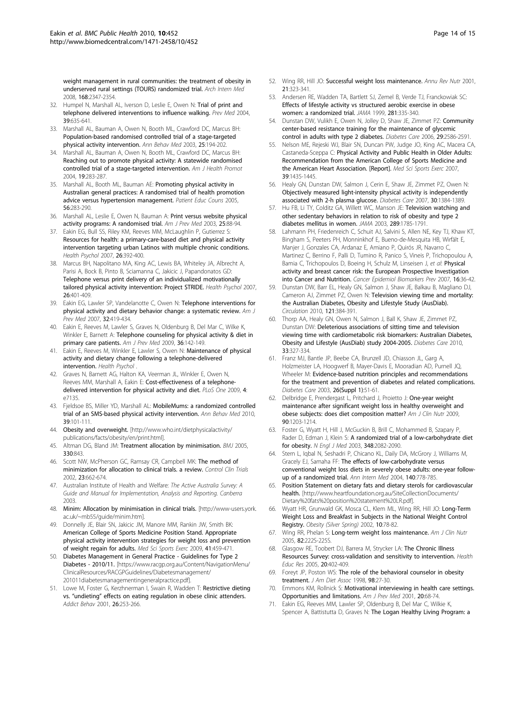<span id="page-15-0"></span>[weight management in rural communities: the treatment of obesity in](http://www.ncbi.nlm.nih.gov/pubmed/19029500?dopt=Abstract) [underserved rural settings \(TOURS\) randomized trial.](http://www.ncbi.nlm.nih.gov/pubmed/19029500?dopt=Abstract) Arch Intern Med 2008, 168:2347-2354.

- 32. Humpel N, Marshall AL, Iverson D, Leslie E, Owen N: [Trial of print and](http://www.ncbi.nlm.nih.gov/pubmed/15313106?dopt=Abstract) [telephone delivered interventions to influence walking.](http://www.ncbi.nlm.nih.gov/pubmed/15313106?dopt=Abstract) Prev Med 2004, 39:635-641.
- 33. Marshall AL, Bauman A, Owen N, Booth ML, Crawford DC, Marcus BH: [Population-based randomised controlled trial of a stage-targeted](http://www.ncbi.nlm.nih.gov/pubmed/12763714?dopt=Abstract) [physical activity intervention.](http://www.ncbi.nlm.nih.gov/pubmed/12763714?dopt=Abstract) Ann Behav Med 2003, 25:194-202.
- 34. Marshall AL, Bauman A, Owen N, Booth ML, Crawford DC, Marcus BH: Reaching out to promote physical activity: A statewide randomised controlled trial of a stage-targeted intervention. Am J Health Promot 2004, 19:283-287.
- 35. Marshall AL, Booth ML, Bauman AE: [Promoting physical activity in](http://www.ncbi.nlm.nih.gov/pubmed/15721970?dopt=Abstract) [Australian general practices: A randomised trial of health promotion](http://www.ncbi.nlm.nih.gov/pubmed/15721970?dopt=Abstract) [advice versus hypertension management.](http://www.ncbi.nlm.nih.gov/pubmed/15721970?dopt=Abstract) Patient Educ Couns 2005, 56:283-290.
- 36. Marshall AL, Leslie E, Owen N, Bauman A: [Print versus website physical](http://www.ncbi.nlm.nih.gov/pubmed/12880874?dopt=Abstract) [activity programs: A randomised trial.](http://www.ncbi.nlm.nih.gov/pubmed/12880874?dopt=Abstract) Am J Prev Med 2003, 25:88-94.
- 37. Eakin EG, Bull SS, Riley KM, Reeves MM, McLaughlin P, Gutierrez S: [Resources for health: a primary-care-based diet and physical activity](http://www.ncbi.nlm.nih.gov/pubmed/17605558?dopt=Abstract) [intervention targeting urban Latinos with multiple chronic conditions.](http://www.ncbi.nlm.nih.gov/pubmed/17605558?dopt=Abstract) Health Psychol 2007, 26:392-400.
- 38. Marcus BH, Napolitano MA, King AC, Lewis BA, Whiteley JA, Albrecht A, Parisi A, Bock B, Pinto B, Sciamanna C, Jakicic J, Papandonatos GD: [Telephone versus print delivery of an individualized motivationally](http://www.ncbi.nlm.nih.gov/pubmed/17605559?dopt=Abstract) [tailored physical activity intervention: Project STRIDE.](http://www.ncbi.nlm.nih.gov/pubmed/17605559?dopt=Abstract) Health Psychol 2007, 26:401-409.
- 39. Eakin EG, Lawler SP, Vandelanotte C, Owen N: [Telephone interventions for](http://www.ncbi.nlm.nih.gov/pubmed/17478269?dopt=Abstract) [physical activity and dietary behavior change: a systematic review.](http://www.ncbi.nlm.nih.gov/pubmed/17478269?dopt=Abstract) Am J Prev Med 2007, 32:419-434.
- 40. Eakin E, Reeves M, Lawler S, Graves N, Oldenburg B, Del Mar C, Wilke K, Winkler E, Barnett A: [Telephone counseling for physical activity & diet in](http://www.ncbi.nlm.nih.gov/pubmed/19062240?dopt=Abstract) [primary care patients.](http://www.ncbi.nlm.nih.gov/pubmed/19062240?dopt=Abstract) Am J Prev Med 2009, 36:142-149.
- 41. Eakin E, Reeves M, Winkler E, Lawler S, Owen N: Maintenance of physical activity and dietary change following a telephone-delivered intervention. Health Psychol
- 42. Graves N, Barnett AG, Halton KA, Veerman JL, Winkler E, Owen N, Reeves MM, Marshall A, Eakin E: [Cost-effectiveness of a telephone](http://www.ncbi.nlm.nih.gov/pubmed/19779611?dopt=Abstract)[delivered intervention for physical activity and diet.](http://www.ncbi.nlm.nih.gov/pubmed/19779611?dopt=Abstract) PLoS One 2009, 4: e7135.
- 43. Fjeldsoe BS, Miller YD, Marshall AL: [MobileMums: a randomized controlled](http://www.ncbi.nlm.nih.gov/pubmed/20174902?dopt=Abstract) [trial of an SMS-based physical activity intervention.](http://www.ncbi.nlm.nih.gov/pubmed/20174902?dopt=Abstract) Ann Behav Med 2010, 39:101-111.
- 44. Obesity and overweight. [\[http://www.who.int/dietphysicalactivity/](http://www.who.int/dietphysicalactivity/publications/facts/obesity/en/print.html) [publications/facts/obesity/en/print.html\]](http://www.who.int/dietphysicalactivity/publications/facts/obesity/en/print.html).
- 45. Altman DG, Bland JM: [Treatment allocation by minimisation.](http://www.ncbi.nlm.nih.gov/pubmed/15817555?dopt=Abstract) BMJ 2005, 330:843.
- 46. Scott NW, McPherson GC, Ramsay CR, Campbell MK: [The method of](http://www.ncbi.nlm.nih.gov/pubmed/12505244?dopt=Abstract) [minimization for allocation to clinical trials. a review.](http://www.ncbi.nlm.nih.gov/pubmed/12505244?dopt=Abstract) Control Clin Trials 2002, 23:662-674.
- 47. Australian Institute of Health and Welfare: The Active Australia Survey: A Guide and Manual for Implementation, Analysis and Reporting. Canberra 2003.
- 48. Minim: Allocation by minimisation in clinical trials. [[http://www-users.york.](http://www-users.york.ac.uk/~mb55/guide/minim.htm) [ac.uk/~mb55/guide/minim.htm](http://www-users.york.ac.uk/~mb55/guide/minim.htm)].
- 49. Donnelly JE, Blair SN, Jakicic JM, Manore MM, Rankin JW, Smith BK: [American College of Sports Medicine Position Stand. Appropriate](http://www.ncbi.nlm.nih.gov/pubmed/19127177?dopt=Abstract) [physical activity intervention strategies for weight loss and prevention](http://www.ncbi.nlm.nih.gov/pubmed/19127177?dopt=Abstract) [of weight regain for adults.](http://www.ncbi.nlm.nih.gov/pubmed/19127177?dopt=Abstract) Med Sci Sports Exerc 2009, 41:459-471.
- 50. Diabetes Management in General Practice Guidelines for Type 2 Diabetes - 2010/11. [\[https://www.racgp.org.au/Content/NavigationMenu/](https://www.racgp.org.au/Content/NavigationMenu/ClinicalResources/RACGPGuidelines/Diabetesmanagement/201011diabetesmanagementingeneralpractice.pdf) [ClinicalResources/RACGPGuidelines/Diabetesmanagement/](https://www.racgp.org.au/Content/NavigationMenu/ClinicalResources/RACGPGuidelines/Diabetesmanagement/201011diabetesmanagementingeneralpractice.pdf) [201011diabetesmanagementingeneralpractice.pdf\]](https://www.racgp.org.au/Content/NavigationMenu/ClinicalResources/RACGPGuidelines/Diabetesmanagement/201011diabetesmanagementingeneralpractice.pdf).
- 51. Lowe M, Foster G, Kerzhnerman I, Swain R, Wadden T: [Restrictive dieting](http://www.ncbi.nlm.nih.gov/pubmed/11316380?dopt=Abstract) vs. "undieting" [effects on eating regulation in obese clinic attenders.](http://www.ncbi.nlm.nih.gov/pubmed/11316380?dopt=Abstract) Addict Behav 2001, 26:253-266.
- 52. Wing RR, Hill JO: [Successful weight loss maintenance.](http://www.ncbi.nlm.nih.gov/pubmed/11375440?dopt=Abstract) Annu Rev Nutr 2001. 21:323-341.
- 53. Andersen RE, Wadden TA, Bartlett SJ, Zemel B, Verde TJ, Franckowiak SC: [Effects of lifestyle activity vs structured aerobic exercise in obese](http://www.ncbi.nlm.nih.gov/pubmed/9929086?dopt=Abstract) [women: a randomized trial.](http://www.ncbi.nlm.nih.gov/pubmed/9929086?dopt=Abstract) JAMA 1999, 281:335-340.
- 54. Dunstan DW, Vulikh E, Owen N, Jolley D, Shaw JE, Zimmet PZ: [Community](http://www.ncbi.nlm.nih.gov/pubmed/17130189?dopt=Abstract) [center-based resistance training for the maintenance of glycemic](http://www.ncbi.nlm.nih.gov/pubmed/17130189?dopt=Abstract) [control in adults with type 2 diabetes.](http://www.ncbi.nlm.nih.gov/pubmed/17130189?dopt=Abstract) Diabetes Care 2006, 29:2586-2591.
- 55. Nelson ME, Rejeski WJ, Blair SN, Duncan PW, Judge JO, King AC, Macera CA, Castaneda-Sceppa C: [Physical Activity and Public Health in Older Adults:](http://www.ncbi.nlm.nih.gov/pubmed/17762378?dopt=Abstract) [Recommendation from the American College of Sports Medicine and](http://www.ncbi.nlm.nih.gov/pubmed/17762378?dopt=Abstract) [the American Heart Association. \[Report\].](http://www.ncbi.nlm.nih.gov/pubmed/17762378?dopt=Abstract) Med Sci Sports Exerc 2007, 39:1435-1445.
- 56. Healy GN, Dunstan DW, Salmon J, Cerin E, Shaw JE, Zimmet PZ, Owen N: [Objectively measured light-intensity physical activity is independently](http://www.ncbi.nlm.nih.gov/pubmed/17473059?dopt=Abstract) [associated with 2-h plasma glucose.](http://www.ncbi.nlm.nih.gov/pubmed/17473059?dopt=Abstract) Diabetes Care 2007, 30:1384-1389.
- 57. Hu FB, Li TY, Colditz GA, Willett WC, Manson JE: [Television watching and](http://www.ncbi.nlm.nih.gov/pubmed/12684356?dopt=Abstract) [other sedentary behaviors in relation to risk of obesity and type 2](http://www.ncbi.nlm.nih.gov/pubmed/12684356?dopt=Abstract) [diabetes mellitus in women.](http://www.ncbi.nlm.nih.gov/pubmed/12684356?dopt=Abstract) JAMA 2003, 289:1785-1791.
- 58. Lahmann PH, Friedenreich C, Schuit AJ, Salvini S, Allen NE, Key TJ, Khaw KT, Bingham S, Peeters PH, Monninkhof E, Bueno-de-Mesquita HB, Wirfält E, Manjer J, Gonzales CA, Ardanaz E, Amiano P, Quirós JR, Navarro C, Martinez C, Berrino F, Palli D, Tumino R, Panico S, Vineis P, Trichopoulou A, Bamia C, Trichopoulos D, Boeing H, Schulz M, Linseisen J, et al: [Physical](http://www.ncbi.nlm.nih.gov/pubmed/17179488?dopt=Abstract) [activity and breast cancer risk: the European Prospective Investigation](http://www.ncbi.nlm.nih.gov/pubmed/17179488?dopt=Abstract) [into Cancer and Nutrition.](http://www.ncbi.nlm.nih.gov/pubmed/17179488?dopt=Abstract) Cancer Epidemiol Biomarkers Prev 2007, 16:36-42.
- 59. Dunstan DW, Barr EL, Healy GN, Salmon J, Shaw JE, Balkau B, Magliano DJ, Cameron AJ, Zimmet PZ, Owen N: [Television viewing time and mortality:](http://www.ncbi.nlm.nih.gov/pubmed/20065160?dopt=Abstract) [the Australian Diabetes, Obesity and Lifestyle Study \(AusDiab\).](http://www.ncbi.nlm.nih.gov/pubmed/20065160?dopt=Abstract) Circulation 2010, 121:384-391.
- 60. Thorp AA, Healy GN, Owen N, Salmon J, Ball K, Shaw JE, Zimmet PZ, Dunstan DW: [Deleterious associations of sitting time and television](http://www.ncbi.nlm.nih.gov/pubmed/19918003?dopt=Abstract) [viewing time with cardiometabolic risk biomarkers: Australian Diabetes,](http://www.ncbi.nlm.nih.gov/pubmed/19918003?dopt=Abstract) [Obesity and Lifestyle \(AusDiab\) study 2004-2005.](http://www.ncbi.nlm.nih.gov/pubmed/19918003?dopt=Abstract) Diabetes Care 2010, 33:327-334.
- 61. Franz MJ, Bantle JP, Beebe CA, Brunzell JD, Chiasson JL, Garg A, Holzmeister LA, Hoogwerf B, Mayer-Davis E, Mooradian AD, Purnell JQ, Wheeler M: Evidence-based nutrition principles and recommendations for the treatment and prevention of diabetes and related complications. Diabetes Care 2003, 26(Suppl 1):51-61.
- 62. Delbridge E, Prendergast L, Pritchard J, Proietto J: [One-year weight](http://www.ncbi.nlm.nih.gov/pubmed/19793858?dopt=Abstract) [maintenance after significant weight loss in healthy overweight and](http://www.ncbi.nlm.nih.gov/pubmed/19793858?dopt=Abstract) [obese subjects: does diet composition matter?](http://www.ncbi.nlm.nih.gov/pubmed/19793858?dopt=Abstract) Am J Clin Nutr 2009, 90:1203-1214.
- 63. Foster G, Wyatt H, Hill J, McGuckin B, Brill C, Mohammed B, Szapary P, Rader D, Edman J, Klein S: [A randomized trial of a low-carbohydrate diet](http://www.ncbi.nlm.nih.gov/pubmed/12761365?dopt=Abstract) [for obesity.](http://www.ncbi.nlm.nih.gov/pubmed/12761365?dopt=Abstract) N Engl J Med 2003, 348:2082-2090.
- 64. Stern L, Iqbal N, Seshadri P, Chicano KL, Daily DA, McGrory J, Williams M, Gracely EJ, Samaha FF: [The effects of low-carbohydrate versus](http://www.ncbi.nlm.nih.gov/pubmed/15148064?dopt=Abstract) [conventional weight loss diets in severely obese adults: one-year follow](http://www.ncbi.nlm.nih.gov/pubmed/15148064?dopt=Abstract)[up of a randomized trial.](http://www.ncbi.nlm.nih.gov/pubmed/15148064?dopt=Abstract) Ann Intern Med 2004, 140:778-785.
- 65. Position Statement on dietary fats and dietary sterols for cardiovascular health. [[http://www.heartfoundation.org.au/SiteCollectionDocuments/](http://www.heartfoundation.org.au/SiteCollectionDocuments/Dietary%20fats%20position%20statement%20LR.pdf) [Dietary%20fats%20position%20statement%20LR.pdf](http://www.heartfoundation.org.au/SiteCollectionDocuments/Dietary%20fats%20position%20statement%20LR.pdf)].
- 66. Wyatt HR, Grunwald GK, Mosca CL, Klem ML, Wing RR, Hill JO: Long-Term Weight Loss and Breakfast in Subjects in the National Weight Control Registry. Obesity (Silver Spring) 2002, 10:78-82.
- 67. Wing RR, Phelan S: [Long-term weight loss maintenance.](http://www.ncbi.nlm.nih.gov/pubmed/16002825?dopt=Abstract) Am J Clin Nutr 2005, 82:222S-225S.
- 68. Glasgow RE, Toobert DJ, Barrera M, Strycker LA: [The Chronic Illness](http://www.ncbi.nlm.nih.gov/pubmed/15572438?dopt=Abstract) [Resources Survey: cross-validation and sensitivity to intervention.](http://www.ncbi.nlm.nih.gov/pubmed/15572438?dopt=Abstract) Health Educ Res 2005, 20:402-409.
- 69. Foreyt JP, Poston WS: The role of the behavioral counselor in obesity treatment. J Am Diet Assoc 1998, 98:27-30.
- 70. Emmons KM, Rollnick S: [Motivational interviewing in health care settings.](http://www.ncbi.nlm.nih.gov/pubmed/11137778?dopt=Abstract) [Opportunities and limitations.](http://www.ncbi.nlm.nih.gov/pubmed/11137778?dopt=Abstract) Am J Prev Med 2001, 20:68-74.
- 71. Eakin EG, Reeves MM, Lawler SP, Oldenburg B, Del Mar C, Wilkie K, Spencer A, Battistutta D, Graves N: [The Logan Healthy Living Program: a](http://www.ncbi.nlm.nih.gov/pubmed/18055274?dopt=Abstract)